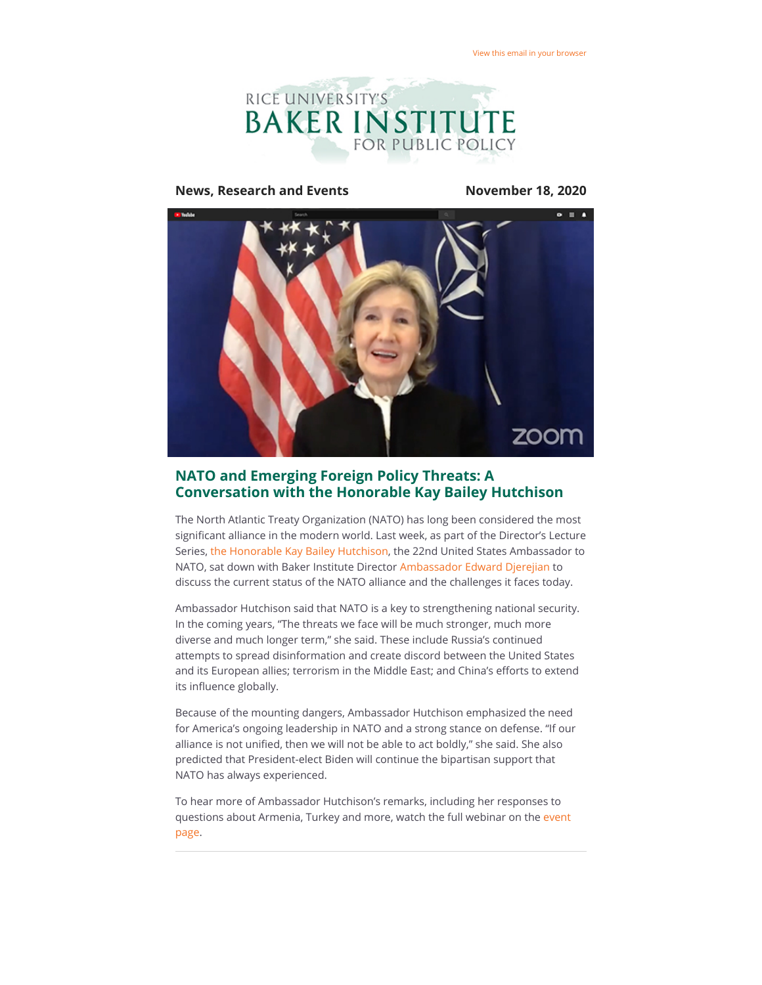

#### **News, Research and Events November 18, 2020**



# **NATO and Emerging Foreign Policy Threats: A Conversation with the Honorable Kay Bailey Hutchison**

The North Atlantic Treaty Organization (NATO) has long been considered the most significant alliance in the modern world. Last week, as part of the Director's Lecture Series, [the Honorable Kay Bailey Hutchison](https://riceconnect.rice.edu/page.redir?target=https%3a%2f%2fnato.usmission.gov%2four-relationship%2four-ambassador%2f&srcid=180659&srctid=1&erid=9571b2d1-860f-4fef-bfc4-b5419865463b&trid=9571b2d1-860f-4fef-bfc4-b5419865463b), the 22nd United States Ambassador to NATO, sat down with Baker Institute Director [Ambassador Edward Djerejian](https://riceconnect.rice.edu/page.redir?target=https%3a%2f%2fwww.bakerinstitute.org%2fexperts%2fedward-p-djerejian%2f&srcid=180659&srctid=1&erid=9571b2d1-860f-4fef-bfc4-b5419865463b&trid=9571b2d1-860f-4fef-bfc4-b5419865463b) to discuss the current status of the NATO alliance and the challenges it faces today.

Ambassador Hutchison said that NATO is a key to strengthening national security. In the coming years, "The threats we face will be much stronger, much more diverse and much longer term," she said. These include Russia's continued attempts to spread disinformation and create discord between the United States and its European allies; terrorism in the Middle East; and China's efforts to extend its influence globally.

Because of the mounting dangers, Ambassador Hutchison emphasized the need for America's ongoing leadership in NATO and a strong stance on defense. "If our alliance is not unified, then we will not be able to act boldly," she said. She also predicted that President-elect Biden will continue the bipartisan support that NATO has always experienced.

To hear more of Ambassador Hutchison's remarks, including her responses to [questions about Armenia, Turkey and more, watch the full webinar on the event](https://riceconnect.rice.edu/page.redir?target=https%3a%2f%2fwww.bakerinstitute.org%2fevents%2f2167%2f&srcid=180659&srctid=1&erid=9571b2d1-860f-4fef-bfc4-b5419865463b&trid=9571b2d1-860f-4fef-bfc4-b5419865463b) page.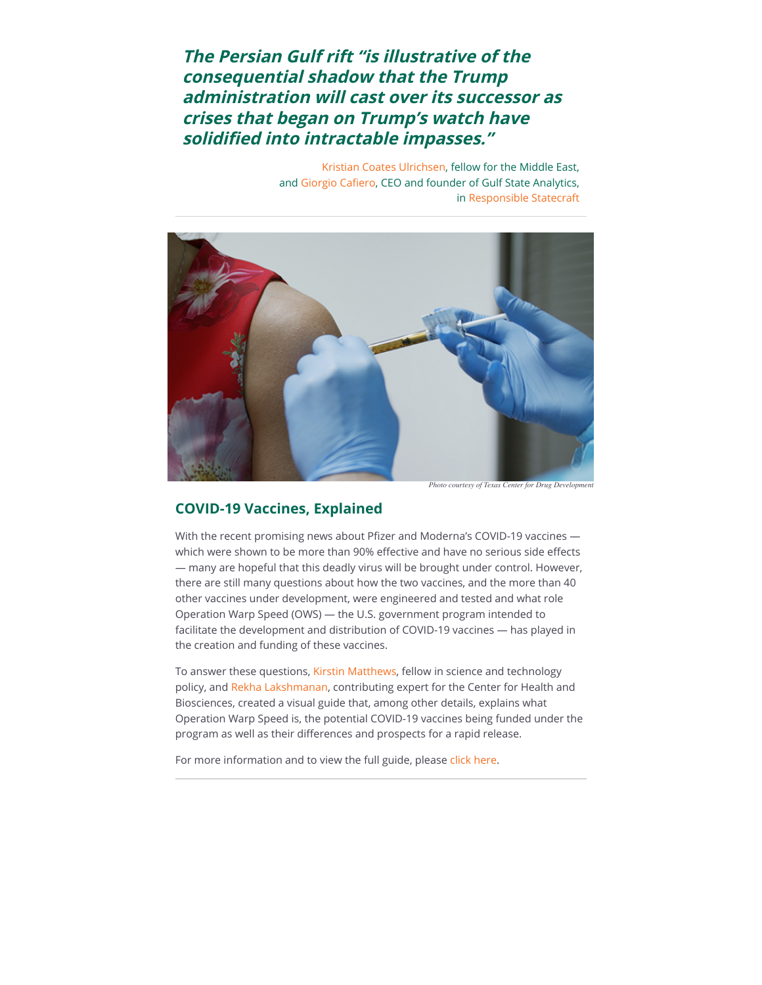**The Persian Gulf rift "is illustrative of the consequential shadow that the Trump administration will cast over its successor as crises that began on Trump's watch have** solidified into intractable impasses."

> [Kristian Coates Ulrichsen](https://riceconnect.rice.edu/page.redir?target=https%3a%2f%2fwww.bakerinstitute.org%2fexperts%2fkristian-coates-ulrichsen%2f&srcid=180659&srctid=1&erid=9571b2d1-860f-4fef-bfc4-b5419865463b&trid=9571b2d1-860f-4fef-bfc4-b5419865463b), fellow for the Middle East, and Giorgio Cafiero, CEO and founder of Gulf State Analytics, in [Responsible Statecraft](https://riceconnect.rice.edu/page.redir?target=https%3a%2f%2fresponsiblestatecraft.org%2f2020%2f11%2f16%2fare-the-glowing-orb-days-over-ways-biden-can-better-balance-interests-in-the-gulf%2f&srcid=180659&srctid=1&erid=9571b2d1-860f-4fef-bfc4-b5419865463b&trid=9571b2d1-860f-4fef-bfc4-b5419865463b)



*Photo courtesy of Texas Center for Drug Development*

### **COVID-19 Vaccines, Explained**

With the recent promising news about Pfizer and Moderna's COVID-19 vaccines which were shown to be more than 90% effective and have no serious side effects — many are hopeful that this deadly virus will be brought under control. However, there are still many questions about how the two vaccines, and the more than 40 other vaccines under development, were engineered and tested and what role Operation Warp Speed (OWS) — the U.S. government program intended to facilitate the development and distribution of COVID-19 vaccines — has played in the creation and funding of these vaccines.

To answer these questions, [Kirstin Matthews,](https://riceconnect.rice.edu/page.redir?target=https%3a%2f%2fwww.bakerinstitute.org%2fexperts%2fkirstin-rw-matthews%2f&srcid=180659&srctid=1&erid=9571b2d1-860f-4fef-bfc4-b5419865463b&trid=9571b2d1-860f-4fef-bfc4-b5419865463b) fellow in science and technology policy, and [Rekha Lakshmanan](https://riceconnect.rice.edu/page.redir?target=https%3a%2f%2fwww.bakerinstitute.org%2fexperts%2frekha-lakshmanan%2f&srcid=180659&srctid=1&erid=9571b2d1-860f-4fef-bfc4-b5419865463b&trid=9571b2d1-860f-4fef-bfc4-b5419865463b), contributing expert for the Center for Health and Biosciences, created a visual guide that, among other details, explains what Operation Warp Speed is, the potential COVID-19 vaccines being funded under the program as well as their differences and prospects for a rapid release.

For more information and to view the full guide, please [click here](https://riceconnect.rice.edu/page.redir?target=https%3a%2f%2fwww.bakerinstitute.org%2fresearch%2foperation-warp-speed-developing-covid-19-vaccine%2f&srcid=180659&srctid=1&erid=9571b2d1-860f-4fef-bfc4-b5419865463b&trid=9571b2d1-860f-4fef-bfc4-b5419865463b).